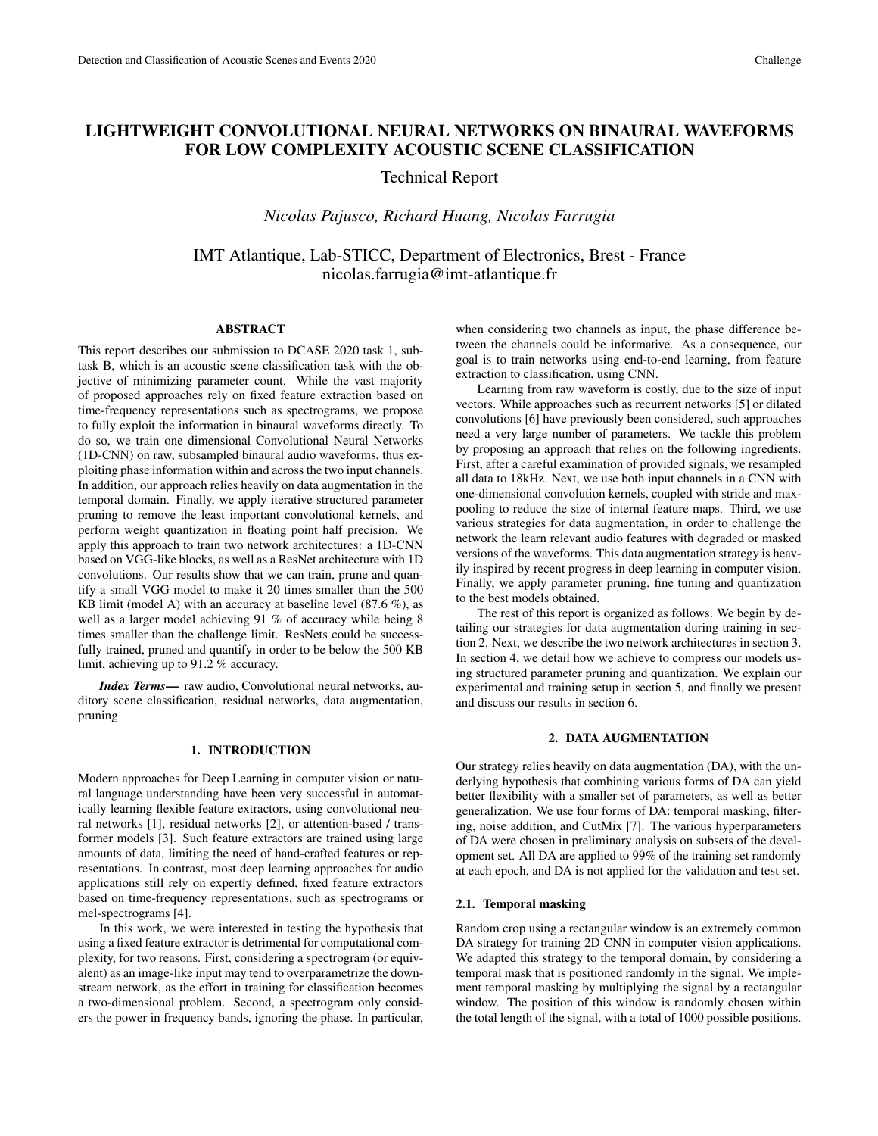# LIGHTWEIGHT CONVOLUTIONAL NEURAL NETWORKS ON BINAURAL WAVEFORMS FOR LOW COMPLEXITY ACOUSTIC SCENE CLASSIFICATION

Technical Report

*Nicolas Pajusco, Richard Huang, Nicolas Farrugia*

IMT Atlantique, Lab-STICC, Department of Electronics, Brest - France nicolas.farrugia@imt-atlantique.fr

# ABSTRACT

This report describes our submission to DCASE 2020 task 1, subtask B, which is an acoustic scene classification task with the objective of minimizing parameter count. While the vast majority of proposed approaches rely on fixed feature extraction based on time-frequency representations such as spectrograms, we propose to fully exploit the information in binaural waveforms directly. To do so, we train one dimensional Convolutional Neural Networks (1D-CNN) on raw, subsampled binaural audio waveforms, thus exploiting phase information within and across the two input channels. In addition, our approach relies heavily on data augmentation in the temporal domain. Finally, we apply iterative structured parameter pruning to remove the least important convolutional kernels, and perform weight quantization in floating point half precision. We apply this approach to train two network architectures: a 1D-CNN based on VGG-like blocks, as well as a ResNet architecture with 1D convolutions. Our results show that we can train, prune and quantify a small VGG model to make it 20 times smaller than the 500 KB limit (model A) with an accuracy at baseline level (87.6 %), as well as a larger model achieving 91 % of accuracy while being 8 times smaller than the challenge limit. ResNets could be successfully trained, pruned and quantify in order to be below the 500 KB limit, achieving up to 91.2 % accuracy.

*Index Terms*— raw audio, Convolutional neural networks, auditory scene classification, residual networks, data augmentation, pruning

## 1. INTRODUCTION

Modern approaches for Deep Learning in computer vision or natural language understanding have been very successful in automatically learning flexible feature extractors, using convolutional neural networks [1], residual networks [2], or attention-based / transformer models [3]. Such feature extractors are trained using large amounts of data, limiting the need of hand-crafted features or representations. In contrast, most deep learning approaches for audio applications still rely on expertly defined, fixed feature extractors based on time-frequency representations, such as spectrograms or mel-spectrograms [4].

In this work, we were interested in testing the hypothesis that using a fixed feature extractor is detrimental for computational complexity, for two reasons. First, considering a spectrogram (or equivalent) as an image-like input may tend to overparametrize the downstream network, as the effort in training for classification becomes a two-dimensional problem. Second, a spectrogram only considers the power in frequency bands, ignoring the phase. In particular,

when considering two channels as input, the phase difference between the channels could be informative. As a consequence, our goal is to train networks using end-to-end learning, from feature extraction to classification, using CNN.

Learning from raw waveform is costly, due to the size of input vectors. While approaches such as recurrent networks [5] or dilated convolutions [6] have previously been considered, such approaches need a very large number of parameters. We tackle this problem by proposing an approach that relies on the following ingredients. First, after a careful examination of provided signals, we resampled all data to 18kHz. Next, we use both input channels in a CNN with one-dimensional convolution kernels, coupled with stride and maxpooling to reduce the size of internal feature maps. Third, we use various strategies for data augmentation, in order to challenge the network the learn relevant audio features with degraded or masked versions of the waveforms. This data augmentation strategy is heavily inspired by recent progress in deep learning in computer vision. Finally, we apply parameter pruning, fine tuning and quantization to the best models obtained.

The rest of this report is organized as follows. We begin by detailing our strategies for data augmentation during training in section 2. Next, we describe the two network architectures in section 3. In section 4, we detail how we achieve to compress our models using structured parameter pruning and quantization. We explain our experimental and training setup in section 5, and finally we present and discuss our results in section 6.

#### 2. DATA AUGMENTATION

Our strategy relies heavily on data augmentation (DA), with the underlying hypothesis that combining various forms of DA can yield better flexibility with a smaller set of parameters, as well as better generalization. We use four forms of DA: temporal masking, filtering, noise addition, and CutMix [7]. The various hyperparameters of DA were chosen in preliminary analysis on subsets of the development set. All DA are applied to 99% of the training set randomly at each epoch, and DA is not applied for the validation and test set.

# 2.1. Temporal masking

Random crop using a rectangular window is an extremely common DA strategy for training 2D CNN in computer vision applications. We adapted this strategy to the temporal domain, by considering a temporal mask that is positioned randomly in the signal. We implement temporal masking by multiplying the signal by a rectangular window. The position of this window is randomly chosen within the total length of the signal, with a total of 1000 possible positions.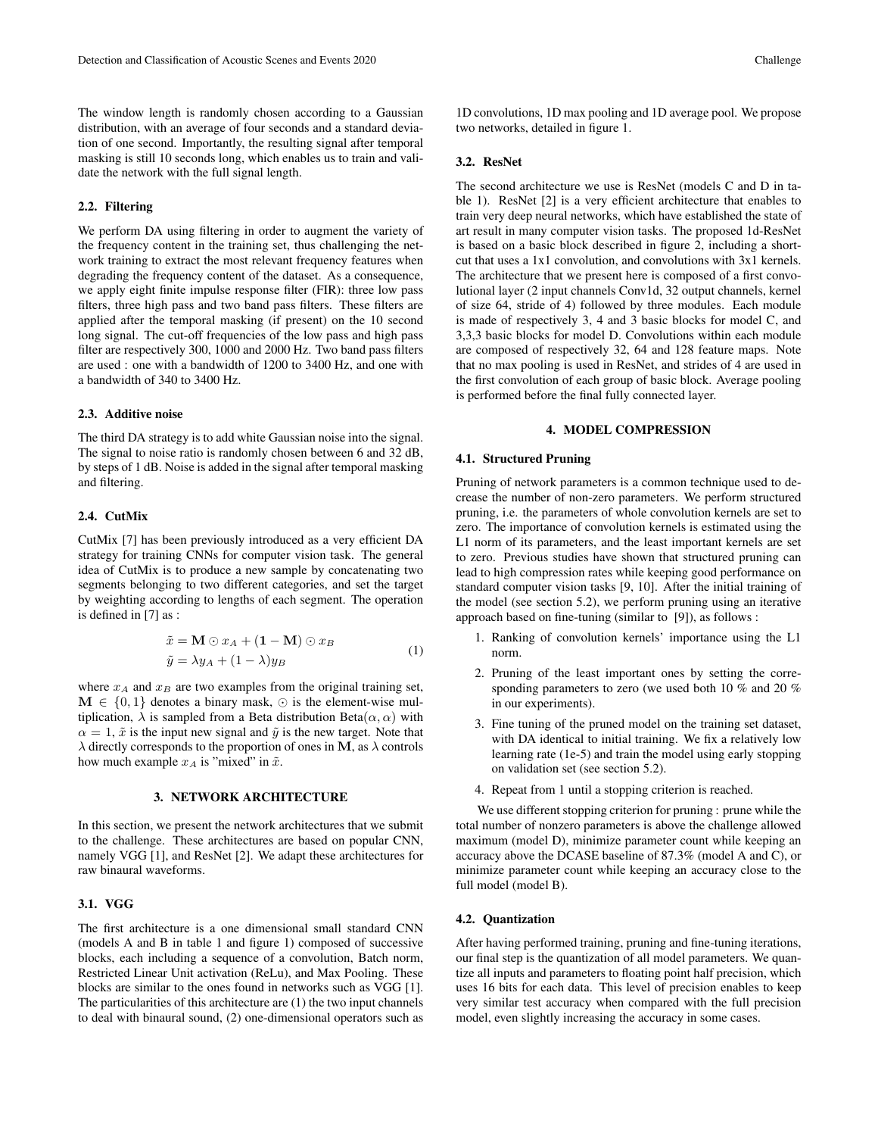The window length is randomly chosen according to a Gaussian distribution, with an average of four seconds and a standard deviation of one second. Importantly, the resulting signal after temporal masking is still 10 seconds long, which enables us to train and validate the network with the full signal length.

### 2.2. Filtering

We perform DA using filtering in order to augment the variety of the frequency content in the training set, thus challenging the network training to extract the most relevant frequency features when degrading the frequency content of the dataset. As a consequence, we apply eight finite impulse response filter (FIR): three low pass filters, three high pass and two band pass filters. These filters are applied after the temporal masking (if present) on the 10 second long signal. The cut-off frequencies of the low pass and high pass filter are respectively 300, 1000 and 2000 Hz. Two band pass filters are used : one with a bandwidth of 1200 to 3400 Hz, and one with a bandwidth of 340 to 3400 Hz.

## 2.3. Additive noise

The third DA strategy is to add white Gaussian noise into the signal. The signal to noise ratio is randomly chosen between 6 and 32 dB, by steps of 1 dB. Noise is added in the signal after temporal masking and filtering.

## 2.4. CutMix

CutMix [7] has been previously introduced as a very efficient DA strategy for training CNNs for computer vision task. The general idea of CutMix is to produce a new sample by concatenating two segments belonging to two different categories, and set the target by weighting according to lengths of each segment. The operation is defined in [7] as :

$$
\tilde{x} = \mathbf{M} \odot x_A + (\mathbf{1} - \mathbf{M}) \odot x_B \n\tilde{y} = \lambda y_A + (1 - \lambda) y_B
$$
\n(1)

where  $x_A$  and  $x_B$  are two examples from the original training set,  $\mathbf{M} \in \{0,1\}$  denotes a binary mask,  $\odot$  is the element-wise multiplication,  $\lambda$  is sampled from a Beta distribution Beta $(\alpha, \alpha)$  with  $\alpha = 1$ ,  $\tilde{x}$  is the input new signal and  $\tilde{y}$  is the new target. Note that  $\lambda$  directly corresponds to the proportion of ones in M, as  $\lambda$  controls how much example  $x_A$  is "mixed" in  $\tilde{x}$ .

# 3. NETWORK ARCHITECTURE

In this section, we present the network architectures that we submit to the challenge. These architectures are based on popular CNN, namely VGG [1], and ResNet [2]. We adapt these architectures for raw binaural waveforms.

#### 3.1. VGG

The first architecture is a one dimensional small standard CNN (models A and B in table 1 and figure 1) composed of successive blocks, each including a sequence of a convolution, Batch norm, Restricted Linear Unit activation (ReLu), and Max Pooling. These blocks are similar to the ones found in networks such as VGG [1]. The particularities of this architecture are (1) the two input channels to deal with binaural sound, (2) one-dimensional operators such as

1D convolutions, 1D max pooling and 1D average pool. We propose two networks, detailed in figure 1.

# 3.2. ResNet

The second architecture we use is ResNet (models C and D in table 1). ResNet [2] is a very efficient architecture that enables to train very deep neural networks, which have established the state of art result in many computer vision tasks. The proposed 1d-ResNet is based on a basic block described in figure 2, including a shortcut that uses a 1x1 convolution, and convolutions with 3x1 kernels. The architecture that we present here is composed of a first convolutional layer (2 input channels Conv1d, 32 output channels, kernel of size 64, stride of 4) followed by three modules. Each module is made of respectively 3, 4 and 3 basic blocks for model C, and 3,3,3 basic blocks for model D. Convolutions within each module are composed of respectively 32, 64 and 128 feature maps. Note that no max pooling is used in ResNet, and strides of 4 are used in the first convolution of each group of basic block. Average pooling is performed before the final fully connected layer.

#### 4. MODEL COMPRESSION

#### 4.1. Structured Pruning

Pruning of network parameters is a common technique used to decrease the number of non-zero parameters. We perform structured pruning, i.e. the parameters of whole convolution kernels are set to zero. The importance of convolution kernels is estimated using the L1 norm of its parameters, and the least important kernels are set to zero. Previous studies have shown that structured pruning can lead to high compression rates while keeping good performance on standard computer vision tasks [9, 10]. After the initial training of the model (see section 5.2), we perform pruning using an iterative approach based on fine-tuning (similar to [9]), as follows :

- 1. Ranking of convolution kernels' importance using the L1 norm.
- 2. Pruning of the least important ones by setting the corresponding parameters to zero (we used both 10 % and 20 % in our experiments).
- 3. Fine tuning of the pruned model on the training set dataset, with DA identical to initial training. We fix a relatively low learning rate (1e-5) and train the model using early stopping on validation set (see section 5.2).
- 4. Repeat from 1 until a stopping criterion is reached.

We use different stopping criterion for pruning : prune while the total number of nonzero parameters is above the challenge allowed maximum (model D), minimize parameter count while keeping an accuracy above the DCASE baseline of 87.3% (model A and C), or minimize parameter count while keeping an accuracy close to the full model (model B).

#### 4.2. Quantization

After having performed training, pruning and fine-tuning iterations, our final step is the quantization of all model parameters. We quantize all inputs and parameters to floating point half precision, which uses 16 bits for each data. This level of precision enables to keep very similar test accuracy when compared with the full precision model, even slightly increasing the accuracy in some cases.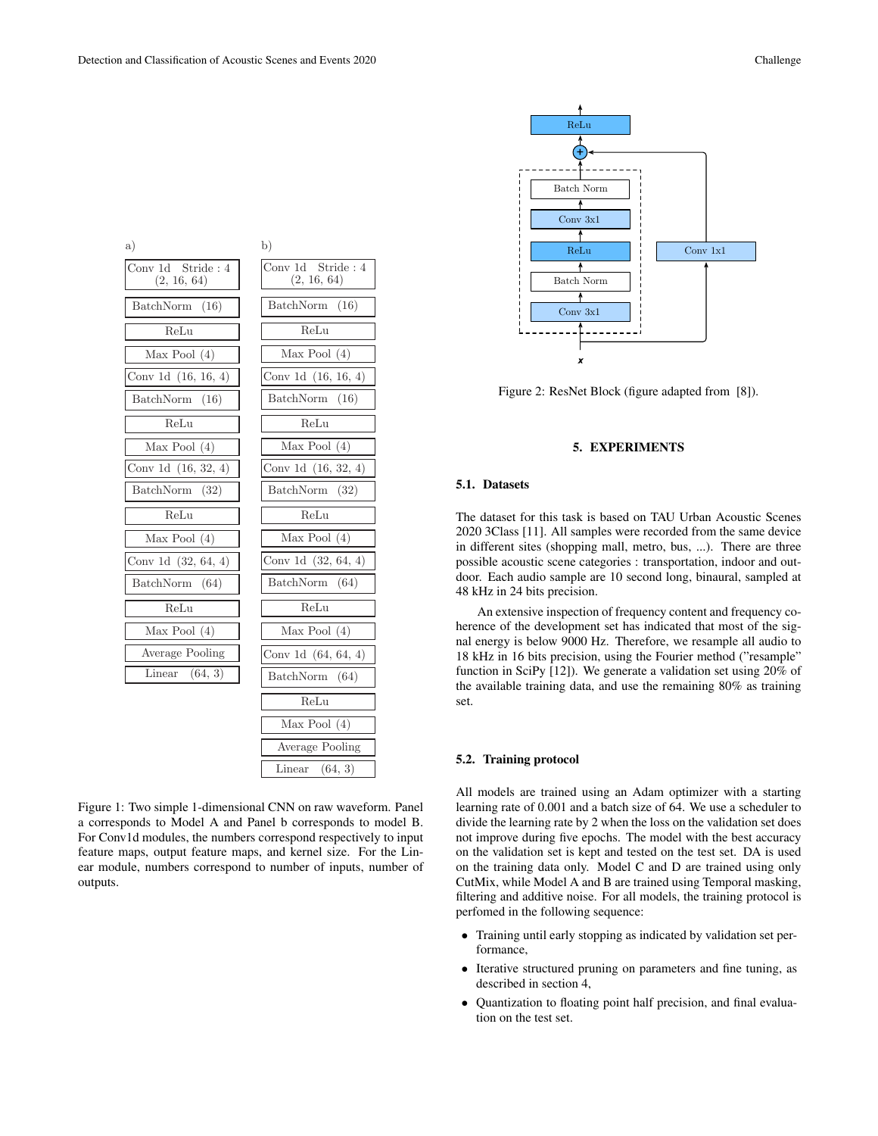

Figure 1: Two simple 1-dimensional CNN on raw waveform. Panel a corresponds to Model A and Panel b corresponds to model B. For Conv1d modules, the numbers correspond respectively to input feature maps, output feature maps, and kernel size. For the Linear module, numbers correspond to number of inputs, number of outputs.



Figure 2: ResNet Block (figure adapted from [8]).

# 5. EXPERIMENTS

#### 5.1. Datasets

The dataset for this task is based on TAU Urban Acoustic Scenes 2020 3Class [11]. All samples were recorded from the same device in different sites (shopping mall, metro, bus, ...). There are three possible acoustic scene categories : transportation, indoor and outdoor. Each audio sample are 10 second long, binaural, sampled at 48 kHz in 24 bits precision.

An extensive inspection of frequency content and frequency coherence of the development set has indicated that most of the signal energy is below 9000 Hz. Therefore, we resample all audio to 18 kHz in 16 bits precision, using the Fourier method ("resample" function in SciPy [12]). We generate a validation set using 20% of the available training data, and use the remaining 80% as training set.

#### 5.2. Training protocol

All models are trained using an Adam optimizer with a starting learning rate of 0.001 and a batch size of 64. We use a scheduler to divide the learning rate by 2 when the loss on the validation set does not improve during five epochs. The model with the best accuracy on the validation set is kept and tested on the test set. DA is used on the training data only. Model C and D are trained using only CutMix, while Model A and B are trained using Temporal masking, filtering and additive noise. For all models, the training protocol is perfomed in the following sequence:

- Training until early stopping as indicated by validation set performance,
- Iterative structured pruning on parameters and fine tuning, as described in section 4,
- Quantization to floating point half precision, and final evaluation on the test set.